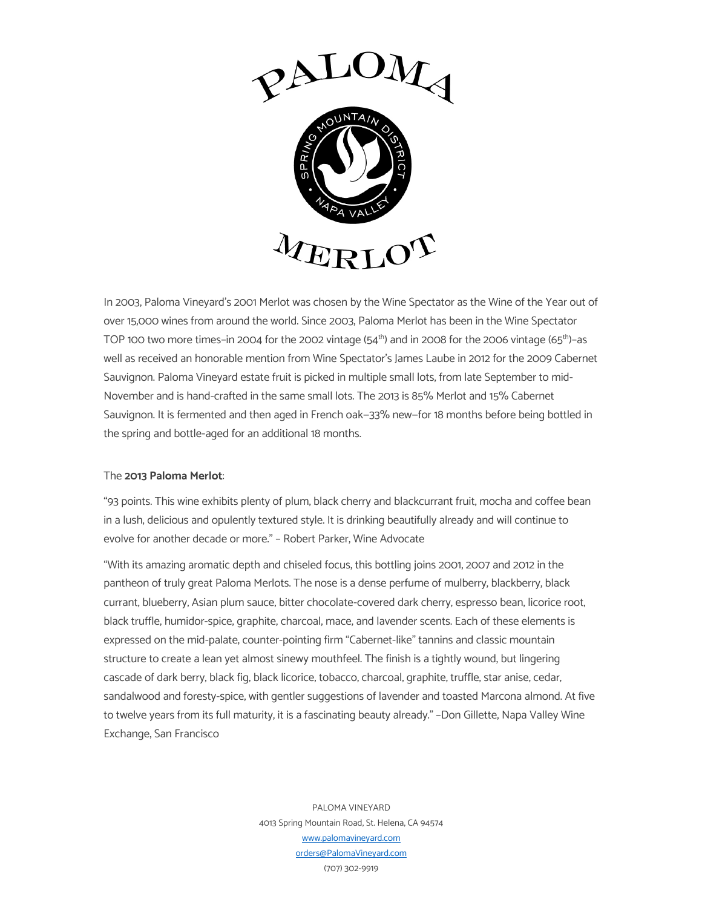

In 2003, Paloma Vineyard's 2001 Merlot was chosen by the Wine Spectator as the Wine of the Year out of over 15,000 wines from around the world. Since 2003, Paloma Merlot has been in the Wine Spectator TOP 100 two more times-in 2004 for the 2002 vintage (54<sup>th</sup>) and in 2008 for the 2006 vintage (65<sup>th</sup>)-as well as received an honorable mention from Wine Spectator's James Laube in 2012 for the 2009 Cabernet Sauvignon. Paloma Vineyard estate fruit is picked in multiple small lots, from late September to mid-November and is hand-crafted in the same small lots. The 2013 is 85% Merlot and 15% Cabernet Sauvignon. It is fermented and then aged in French oak—33% new—for 18 months before being bottled in the spring and bottle-aged for an additional 18 months.

## The **2013 Paloma Merlot**:

"93 points. This wine exhibits plenty of plum, black cherry and blackcurrant fruit, mocha and coffee bean in a lush, delicious and opulently textured style. It is drinking beautifully already and will continue to evolve for another decade or more." – Robert Parker, Wine Advocate

"With its amazing aromatic depth and chiseled focus, this bottling joins 2001, 2007 and 2012 in the pantheon of truly great Paloma Merlots. The nose is a dense perfume of mulberry, blackberry, black currant, blueberry, Asian plum sauce, bitter chocolate-covered dark cherry, espresso bean, licorice root, black truffle, humidor-spice, graphite, charcoal, mace, and lavender scents. Each of these elements is expressed on the mid-palate, counter-pointing firm "Cabernet-like" tannins and classic mountain structure to create a lean yet almost sinewy mouthfeel. The finish is a tightly wound, but lingering cascade of dark berry, black fig, black licorice, tobacco, charcoal, graphite, truffle, star anise, cedar, sandalwood and foresty-spice, with gentler suggestions of lavender and toasted Marcona almond. At five to twelve years from its full maturity, it is a fascinating beauty already." –Don Gillette, Napa Valley Wine Exchange, San Francisco

> PALOMA VINEYARD 4013 Spring Mountain Road, St. Helena, CA 94574 www.palomavineyard.com orders@PalomaVineyard.com (707) 302-9919